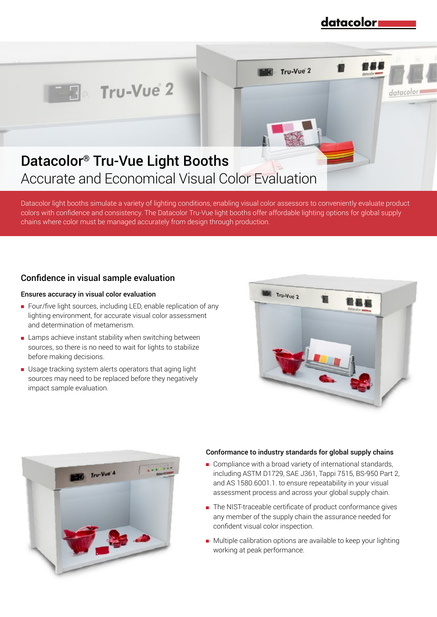## datacolor

datacolo

Tru-Vue 2



# Datacolor® Tru-Vue Light Booths Accurate and Economical Visual Color Evaluation

Datacolor light booths simulate a variety of lighting conditions, enabling visual color assessors to conveniently evaluate product colors with confidence and consistency. The Datacolor Tru-Vue light booths offer affordable lighting options for global supply chains where color must be managed accurately from design through production.

## Confidence in visual sample evaluation

#### Ensures accuracy in visual color evaluation

- Four/five light sources, including LED, enable replication of any lighting environment, for accurate visual color assessment and determination of metamerism.
- **EXT** Lamps achieve instant stability when switching between sources, so there is no need to wait for lights to stabilize before making decisions.
- Usage tracking system alerts operators that aging light sources may need to be replaced before they negatively impact sample evaluation.





#### Conformance to industry standards for global supply chains

- Compliance with a broad variety of international standards, including ASTM D1729, SAE J361, Tappi 7515, BS-950 Part 2, and AS 1580.6001.1. to ensure repeatability in your visual assessment process and across your global supply chain.
- The NIST-traceable certificate of product conformance gives any member of the supply chain the assurance needed for confident visual color inspection.
- Multiple calibration options are available to keep your lighting working at peak performance.